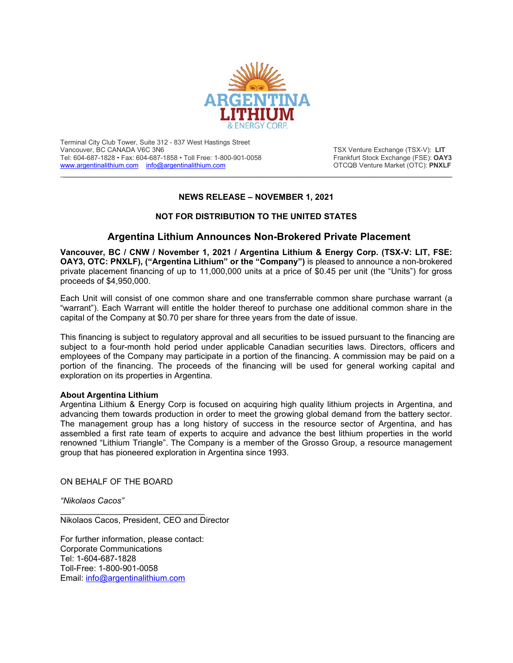

Terminal City Club Tower, Suite 312 - 837 West Hastings Street Vancouver, BC CANADA V6C 3N6<br>Tel: 604-687-1828 • Fax: 604-687-1858 • Toll Free: 1-800-901-0058 **The Content Control Control Control** Frankfurt Stock Exchange (FSE): **OAY3** Tel: 604-687-1828 • Fax: 604-687-1858 • Toll Free: 1-800-901-0058 Frankfurt Stock Exchange (FSE): **OAY3**<br>www.argentinalithium.com info@argentinalithium.com **Frankfurt Stock Exchange (FSE):** PNXLF [www.argentinalithium.com](http://www.argentinalithium.com/) [info@argentinalithium.com](mailto:info@argentinalithium.com)

## **NEWS RELEASE – NOVEMBER 1, 2021**

\_\_\_\_\_\_\_\_\_\_\_\_\_\_\_\_\_\_\_\_\_\_\_\_\_\_\_\_\_\_\_\_\_\_\_\_\_\_\_\_\_\_\_\_\_\_\_\_\_\_\_\_\_\_\_\_\_\_\_\_\_\_\_\_\_\_\_\_\_\_\_\_\_\_\_\_\_\_\_\_\_\_\_\_\_\_\_\_\_\_\_\_

## **NOT FOR DISTRIBUTION TO THE UNITED STATES**

## **Argentina Lithium Announces Non-Brokered Private Placement**

**Vancouver, BC / CNW / November 1, 2021 / Argentina Lithium & Energy Corp. (TSX-V: LIT, FSE: OAY3, OTC: PNXLF), ("Argentina Lithium" or the "Company")** is pleased to announce a non-brokered private placement financing of up to 11,000,000 units at a price of \$0.45 per unit (the "Units") for gross proceeds of \$4,950,000.

Each Unit will consist of one common share and one transferrable common share purchase warrant (a "warrant"). Each Warrant will entitle the holder thereof to purchase one additional common share in the capital of the Company at \$0.70 per share for three years from the date of issue.

This financing is subject to regulatory approval and all securities to be issued pursuant to the financing are subject to a four-month hold period under applicable Canadian securities laws. Directors, officers and employees of the Company may participate in a portion of the financing. A commission may be paid on a portion of the financing. The proceeds of the financing will be used for general working capital and exploration on its properties in Argentina.

## **About Argentina Lithium**

Argentina Lithium & Energy Corp is focused on acquiring high quality lithium projects in Argentina, and advancing them towards production in order to meet the growing global demand from the battery sector. The management group has a long history of success in the resource sector of Argentina, and has assembled a first rate team of experts to acquire and advance the best lithium properties in the world renowned "Lithium Triangle". The Company is a member of the Grosso Group, a resource management group that has pioneered exploration in Argentina since 1993.

ON BEHALF OF THE BOARD

*"Nikolaos Cacos"*

Nikolaos Cacos, President, CEO and Director

For further information, please contact: Corporate Communications Tel: 1-604-687-1828 Toll-Free: 1-800-901-0058 Email: [info@argentinalithium.com](mailto:info@argentinalithium.com)

\_\_\_\_\_\_\_\_\_\_\_\_\_\_\_\_\_\_\_\_\_\_\_\_\_\_\_\_\_\_\_